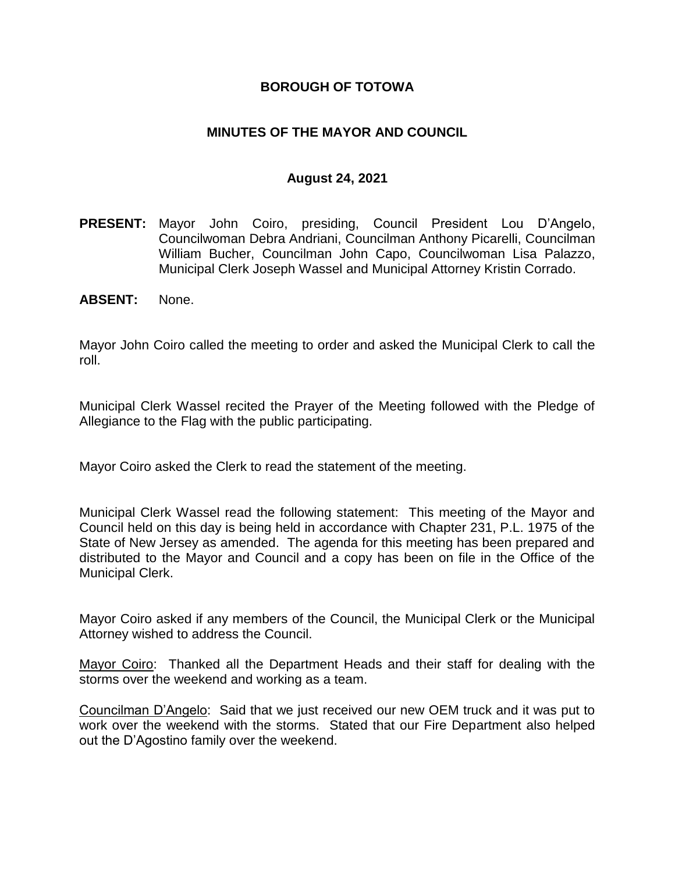### **BOROUGH OF TOTOWA**

### **MINUTES OF THE MAYOR AND COUNCIL**

### **August 24, 2021**

- **PRESENT:** Mayor John Coiro, presiding, Council President Lou D'Angelo, Councilwoman Debra Andriani, Councilman Anthony Picarelli, Councilman William Bucher, Councilman John Capo, Councilwoman Lisa Palazzo, Municipal Clerk Joseph Wassel and Municipal Attorney Kristin Corrado.
- **ABSENT:** None.

Mayor John Coiro called the meeting to order and asked the Municipal Clerk to call the roll.

Municipal Clerk Wassel recited the Prayer of the Meeting followed with the Pledge of Allegiance to the Flag with the public participating.

Mayor Coiro asked the Clerk to read the statement of the meeting.

Municipal Clerk Wassel read the following statement: This meeting of the Mayor and Council held on this day is being held in accordance with Chapter 231, P.L. 1975 of the State of New Jersey as amended. The agenda for this meeting has been prepared and distributed to the Mayor and Council and a copy has been on file in the Office of the Municipal Clerk.

Mayor Coiro asked if any members of the Council, the Municipal Clerk or the Municipal Attorney wished to address the Council.

Mayor Coiro: Thanked all the Department Heads and their staff for dealing with the storms over the weekend and working as a team.

Councilman D'Angelo: Said that we just received our new OEM truck and it was put to work over the weekend with the storms. Stated that our Fire Department also helped out the D'Agostino family over the weekend.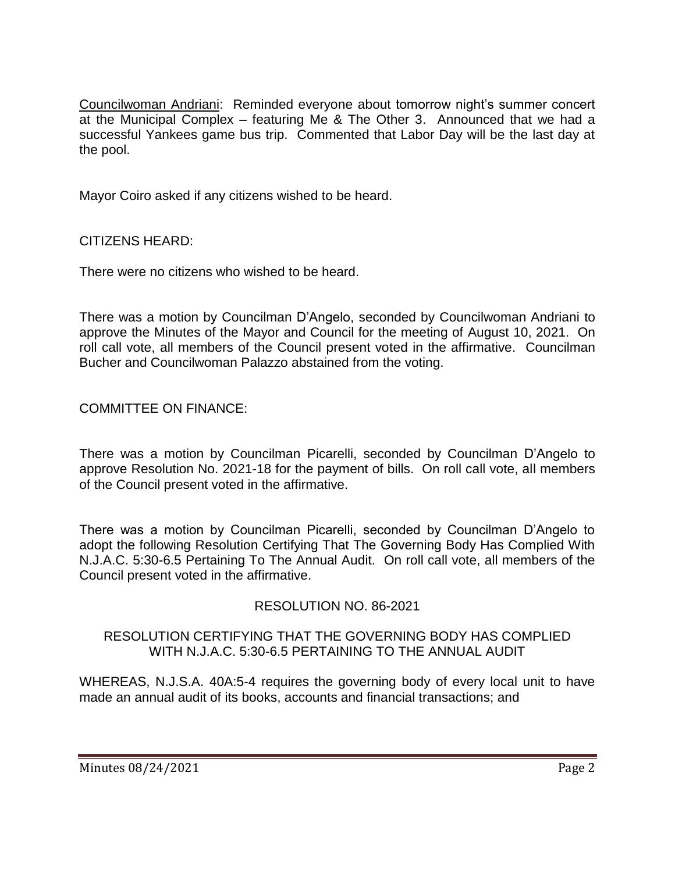Councilwoman Andriani: Reminded everyone about tomorrow night's summer concert at the Municipal Complex – featuring Me & The Other 3. Announced that we had a successful Yankees game bus trip. Commented that Labor Day will be the last day at the pool.

Mayor Coiro asked if any citizens wished to be heard.

CITIZENS HEARD:

There were no citizens who wished to be heard.

There was a motion by Councilman D'Angelo, seconded by Councilwoman Andriani to approve the Minutes of the Mayor and Council for the meeting of August 10, 2021. On roll call vote, all members of the Council present voted in the affirmative. Councilman Bucher and Councilwoman Palazzo abstained from the voting.

COMMITTEE ON FINANCE:

There was a motion by Councilman Picarelli, seconded by Councilman D'Angelo to approve Resolution No. 2021-18 for the payment of bills. On roll call vote, all members of the Council present voted in the affirmative.

There was a motion by Councilman Picarelli, seconded by Councilman D'Angelo to adopt the following Resolution Certifying That The Governing Body Has Complied With N.J.A.C. 5:30-6.5 Pertaining To The Annual Audit. On roll call vote, all members of the Council present voted in the affirmative.

# RESOLUTION NO. 86-2021

### RESOLUTION CERTIFYING THAT THE GOVERNING BODY HAS COMPLIED WITH N.J.A.C. 5:30-6.5 PERTAINING TO THE ANNUAL AUDIT

WHEREAS, N.J.S.A. 40A:5-4 requires the governing body of every local unit to have made an annual audit of its books, accounts and financial transactions; and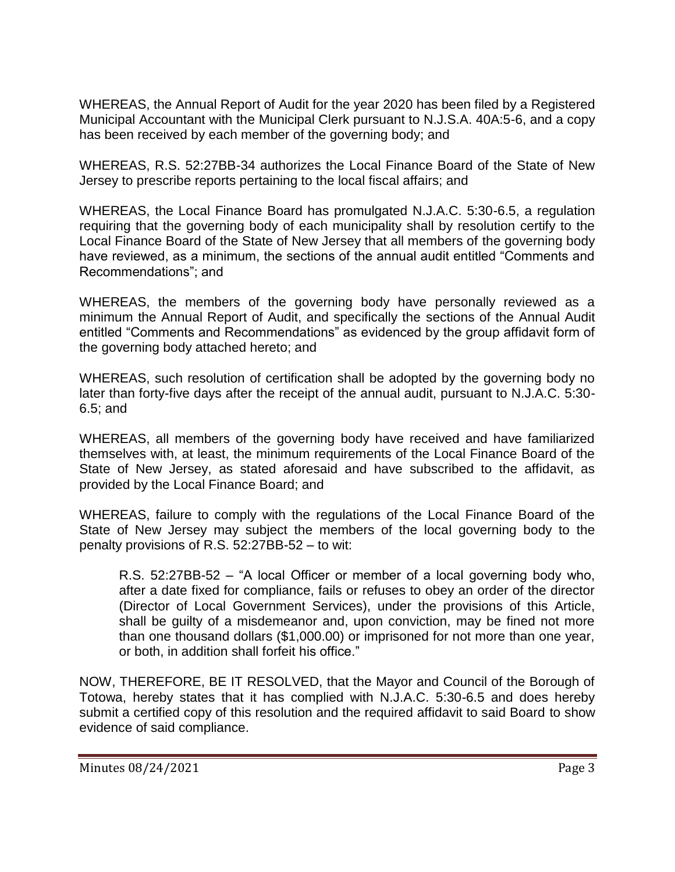WHEREAS, the Annual Report of Audit for the year 2020 has been filed by a Registered Municipal Accountant with the Municipal Clerk pursuant to N.J.S.A. 40A:5-6, and a copy has been received by each member of the governing body; and

WHEREAS, R.S. 52:27BB-34 authorizes the Local Finance Board of the State of New Jersey to prescribe reports pertaining to the local fiscal affairs; and

WHEREAS, the Local Finance Board has promulgated N.J.A.C. 5:30-6.5, a regulation requiring that the governing body of each municipality shall by resolution certify to the Local Finance Board of the State of New Jersey that all members of the governing body have reviewed, as a minimum, the sections of the annual audit entitled "Comments and Recommendations"; and

WHEREAS, the members of the governing body have personally reviewed as a minimum the Annual Report of Audit, and specifically the sections of the Annual Audit entitled "Comments and Recommendations" as evidenced by the group affidavit form of the governing body attached hereto; and

WHEREAS, such resolution of certification shall be adopted by the governing body no later than forty-five days after the receipt of the annual audit, pursuant to N.J.A.C. 5:30- 6.5; and

WHEREAS, all members of the governing body have received and have familiarized themselves with, at least, the minimum requirements of the Local Finance Board of the State of New Jersey, as stated aforesaid and have subscribed to the affidavit, as provided by the Local Finance Board; and

WHEREAS, failure to comply with the regulations of the Local Finance Board of the State of New Jersey may subject the members of the local governing body to the penalty provisions of R.S. 52:27BB-52 – to wit:

R.S. 52:27BB-52 – "A local Officer or member of a local governing body who, after a date fixed for compliance, fails or refuses to obey an order of the director (Director of Local Government Services), under the provisions of this Article, shall be guilty of a misdemeanor and, upon conviction, may be fined not more than one thousand dollars (\$1,000.00) or imprisoned for not more than one year, or both, in addition shall forfeit his office."

NOW, THEREFORE, BE IT RESOLVED, that the Mayor and Council of the Borough of Totowa, hereby states that it has complied with N.J.A.C. 5:30-6.5 and does hereby submit a certified copy of this resolution and the required affidavit to said Board to show evidence of said compliance.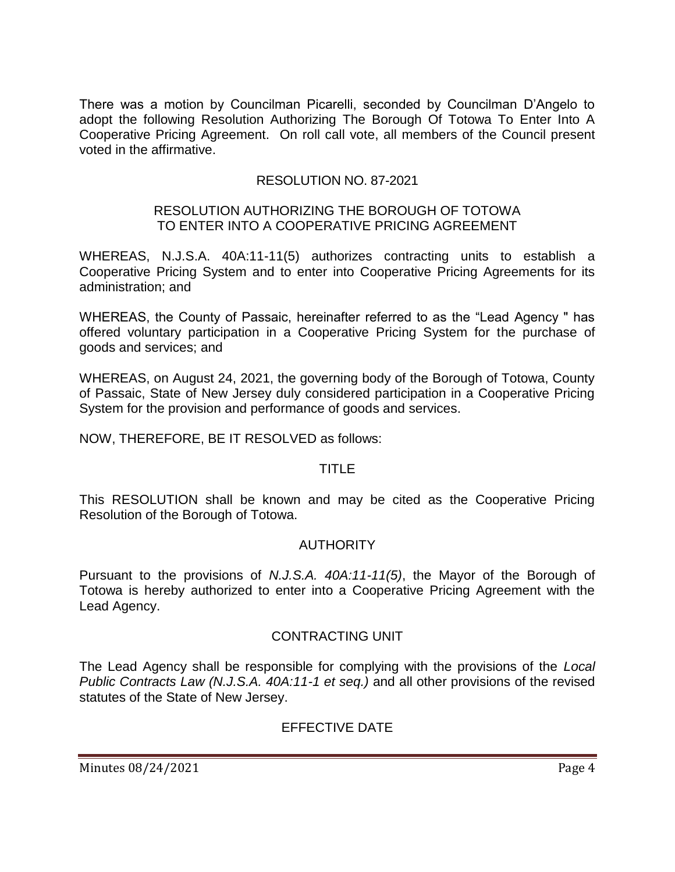There was a motion by Councilman Picarelli, seconded by Councilman D'Angelo to adopt the following Resolution Authorizing The Borough Of Totowa To Enter Into A Cooperative Pricing Agreement. On roll call vote, all members of the Council present voted in the affirmative.

### RESOLUTION NO. 87-2021

#### RESOLUTION AUTHORIZING THE BOROUGH OF TOTOWA TO ENTER INTO A COOPERATIVE PRICING AGREEMENT

WHEREAS, N.J.S.A. 40A:11-11(5) authorizes contracting units to establish a Cooperative Pricing System and to enter into Cooperative Pricing Agreements for its administration; and

WHEREAS, the County of Passaic, hereinafter referred to as the "Lead Agency " has offered voluntary participation in a Cooperative Pricing System for the purchase of goods and services; and

WHEREAS, on August 24, 2021, the governing body of the Borough of Totowa, County of Passaic, State of New Jersey duly considered participation in a Cooperative Pricing System for the provision and performance of goods and services.

NOW, THEREFORE, BE IT RESOLVED as follows:

### TITLE

This RESOLUTION shall be known and may be cited as the Cooperative Pricing Resolution of the Borough of Totowa.

### AUTHORITY

Pursuant to the provisions of *N.J.S.A. 40A:11-11(5)*, the Mayor of the Borough of Totowa is hereby authorized to enter into a Cooperative Pricing Agreement with the Lead Agency.

### CONTRACTING UNIT

The Lead Agency shall be responsible for complying with the provisions of the *Local Public Contracts Law (N.J.S.A. 40A:11-1 et seq.)* and all other provisions of the revised statutes of the State of New Jersey.

### EFFECTIVE DATE

Minutes 08/24/2021 **Page 4**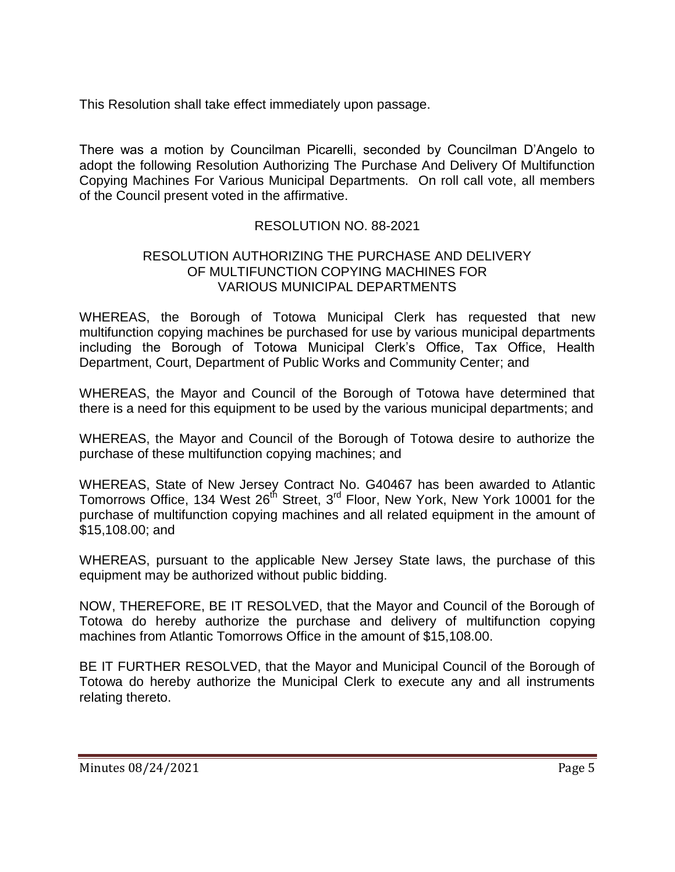This Resolution shall take effect immediately upon passage.

There was a motion by Councilman Picarelli, seconded by Councilman D'Angelo to adopt the following Resolution Authorizing The Purchase And Delivery Of Multifunction Copying Machines For Various Municipal Departments. On roll call vote, all members of the Council present voted in the affirmative.

### RESOLUTION NO. 88-2021

### RESOLUTION AUTHORIZING THE PURCHASE AND DELIVERY OF MULTIFUNCTION COPYING MACHINES FOR VARIOUS MUNICIPAL DEPARTMENTS

WHEREAS, the Borough of Totowa Municipal Clerk has requested that new multifunction copying machines be purchased for use by various municipal departments including the Borough of Totowa Municipal Clerk's Office, Tax Office, Health Department, Court, Department of Public Works and Community Center; and

WHEREAS, the Mayor and Council of the Borough of Totowa have determined that there is a need for this equipment to be used by the various municipal departments; and

WHEREAS, the Mayor and Council of the Borough of Totowa desire to authorize the purchase of these multifunction copying machines; and

WHEREAS, State of New Jersey Contract No. G40467 has been awarded to Atlantic Tomorrows Office, 134 West 26<sup>th</sup> Street, 3<sup>rd</sup> Floor, New York, New York 10001 for the purchase of multifunction copying machines and all related equipment in the amount of \$15,108.00; and

WHEREAS, pursuant to the applicable New Jersey State laws, the purchase of this equipment may be authorized without public bidding.

NOW, THEREFORE, BE IT RESOLVED, that the Mayor and Council of the Borough of Totowa do hereby authorize the purchase and delivery of multifunction copying machines from Atlantic Tomorrows Office in the amount of \$15,108.00.

BE IT FURTHER RESOLVED, that the Mayor and Municipal Council of the Borough of Totowa do hereby authorize the Municipal Clerk to execute any and all instruments relating thereto.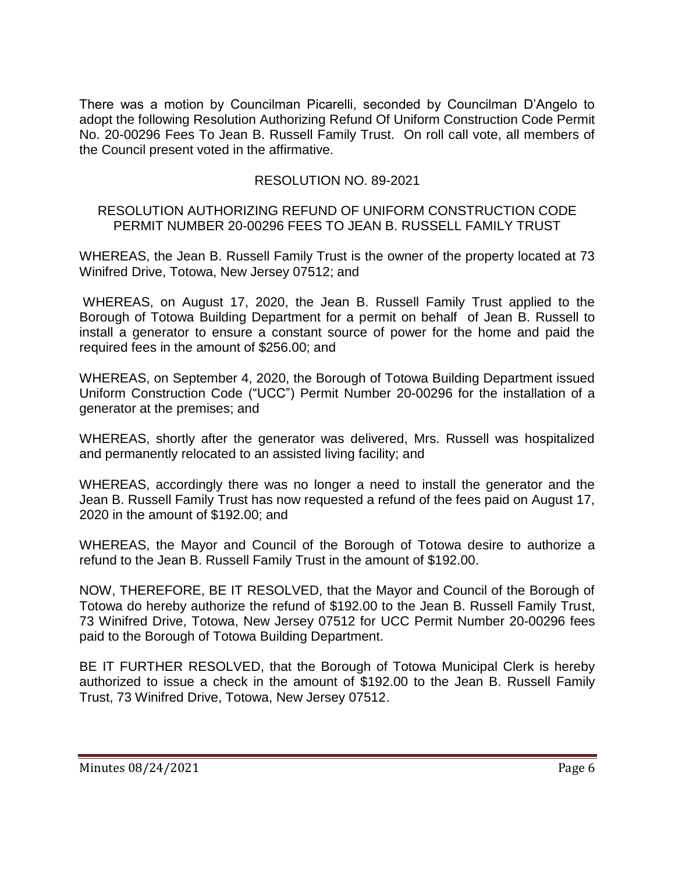There was a motion by Councilman Picarelli, seconded by Councilman D'Angelo to adopt the following Resolution Authorizing Refund Of Uniform Construction Code Permit No. 20-00296 Fees To Jean B. Russell Family Trust. On roll call vote, all members of the Council present voted in the affirmative.

### RESOLUTION NO. 89-2021

### RESOLUTION AUTHORIZING REFUND OF UNIFORM CONSTRUCTION CODE PERMIT NUMBER 20-00296 FEES TO JEAN B. RUSSELL FAMILY TRUST

WHEREAS, the Jean B. Russell Family Trust is the owner of the property located at 73 Winifred Drive, Totowa, New Jersey 07512; and

WHEREAS, on August 17, 2020, the Jean B. Russell Family Trust applied to the Borough of Totowa Building Department for a permit on behalf of Jean B. Russell to install a generator to ensure a constant source of power for the home and paid the required fees in the amount of \$256.00; and

WHEREAS, on September 4, 2020, the Borough of Totowa Building Department issued Uniform Construction Code ("UCC") Permit Number 20-00296 for the installation of a generator at the premises; and

WHEREAS, shortly after the generator was delivered, Mrs. Russell was hospitalized and permanently relocated to an assisted living facility; and

WHEREAS, accordingly there was no longer a need to install the generator and the Jean B. Russell Family Trust has now requested a refund of the fees paid on August 17, 2020 in the amount of \$192.00; and

WHEREAS, the Mayor and Council of the Borough of Totowa desire to authorize a refund to the Jean B. Russell Family Trust in the amount of \$192.00.

NOW, THEREFORE, BE IT RESOLVED, that the Mayor and Council of the Borough of Totowa do hereby authorize the refund of \$192.00 to the Jean B. Russell Family Trust, 73 Winifred Drive, Totowa, New Jersey 07512 for UCC Permit Number 20-00296 fees paid to the Borough of Totowa Building Department.

BE IT FURTHER RESOLVED, that the Borough of Totowa Municipal Clerk is hereby authorized to issue a check in the amount of \$192.00 to the Jean B. Russell Family Trust, 73 Winifred Drive, Totowa, New Jersey 07512.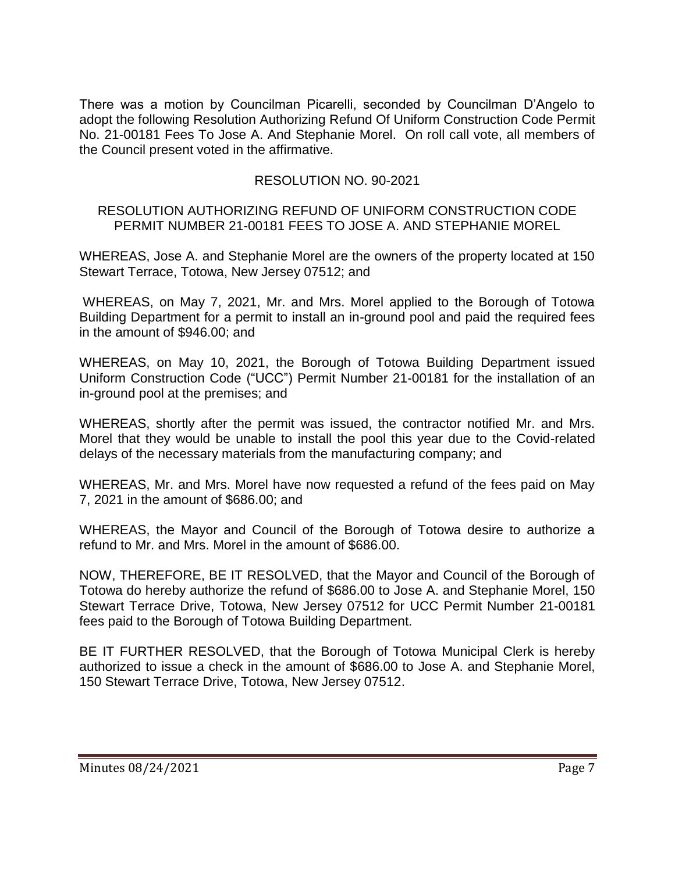There was a motion by Councilman Picarelli, seconded by Councilman D'Angelo to adopt the following Resolution Authorizing Refund Of Uniform Construction Code Permit No. 21-00181 Fees To Jose A. And Stephanie Morel. On roll call vote, all members of the Council present voted in the affirmative.

# RESOLUTION NO. 90-2021

### RESOLUTION AUTHORIZING REFUND OF UNIFORM CONSTRUCTION CODE PERMIT NUMBER 21-00181 FEES TO JOSE A. AND STEPHANIE MOREL

WHEREAS, Jose A. and Stephanie Morel are the owners of the property located at 150 Stewart Terrace, Totowa, New Jersey 07512; and

WHEREAS, on May 7, 2021, Mr. and Mrs. Morel applied to the Borough of Totowa Building Department for a permit to install an in-ground pool and paid the required fees in the amount of \$946.00; and

WHEREAS, on May 10, 2021, the Borough of Totowa Building Department issued Uniform Construction Code ("UCC") Permit Number 21-00181 for the installation of an in-ground pool at the premises; and

WHEREAS, shortly after the permit was issued, the contractor notified Mr. and Mrs. Morel that they would be unable to install the pool this year due to the Covid-related delays of the necessary materials from the manufacturing company; and

WHEREAS, Mr. and Mrs. Morel have now requested a refund of the fees paid on May 7, 2021 in the amount of \$686.00; and

WHEREAS, the Mayor and Council of the Borough of Totowa desire to authorize a refund to Mr. and Mrs. Morel in the amount of \$686.00.

NOW, THEREFORE, BE IT RESOLVED, that the Mayor and Council of the Borough of Totowa do hereby authorize the refund of \$686.00 to Jose A. and Stephanie Morel, 150 Stewart Terrace Drive, Totowa, New Jersey 07512 for UCC Permit Number 21-00181 fees paid to the Borough of Totowa Building Department.

BE IT FURTHER RESOLVED, that the Borough of Totowa Municipal Clerk is hereby authorized to issue a check in the amount of \$686.00 to Jose A. and Stephanie Morel, 150 Stewart Terrace Drive, Totowa, New Jersey 07512.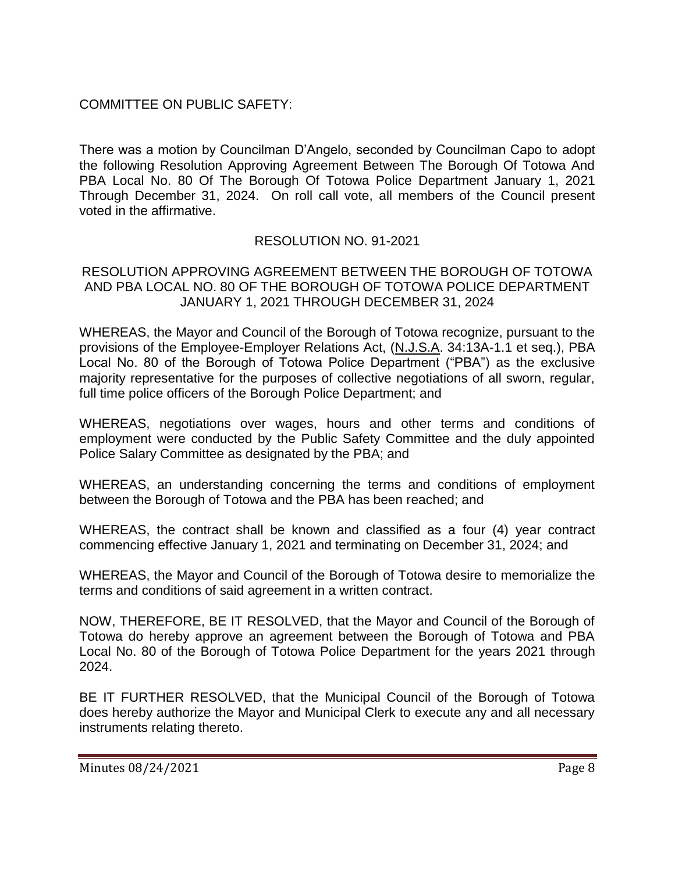# COMMITTEE ON PUBLIC SAFETY:

There was a motion by Councilman D'Angelo, seconded by Councilman Capo to adopt the following Resolution Approving Agreement Between The Borough Of Totowa And PBA Local No. 80 Of The Borough Of Totowa Police Department January 1, 2021 Through December 31, 2024. On roll call vote, all members of the Council present voted in the affirmative.

# RESOLUTION NO. 91-2021

### RESOLUTION APPROVING AGREEMENT BETWEEN THE BOROUGH OF TOTOWA AND PBA LOCAL NO. 80 OF THE BOROUGH OF TOTOWA POLICE DEPARTMENT JANUARY 1, 2021 THROUGH DECEMBER 31, 2024

WHEREAS, the Mayor and Council of the Borough of Totowa recognize, pursuant to the provisions of the Employee-Employer Relations Act, (N.J.S.A. 34:13A-1.1 et seq.), PBA Local No. 80 of the Borough of Totowa Police Department ("PBA") as the exclusive majority representative for the purposes of collective negotiations of all sworn, regular, full time police officers of the Borough Police Department; and

WHEREAS, negotiations over wages, hours and other terms and conditions of employment were conducted by the Public Safety Committee and the duly appointed Police Salary Committee as designated by the PBA; and

WHEREAS, an understanding concerning the terms and conditions of employment between the Borough of Totowa and the PBA has been reached; and

WHEREAS, the contract shall be known and classified as a four (4) year contract commencing effective January 1, 2021 and terminating on December 31, 2024; and

WHEREAS, the Mayor and Council of the Borough of Totowa desire to memorialize the terms and conditions of said agreement in a written contract.

NOW, THEREFORE, BE IT RESOLVED, that the Mayor and Council of the Borough of Totowa do hereby approve an agreement between the Borough of Totowa and PBA Local No. 80 of the Borough of Totowa Police Department for the years 2021 through 2024.

BE IT FURTHER RESOLVED, that the Municipal Council of the Borough of Totowa does hereby authorize the Mayor and Municipal Clerk to execute any and all necessary instruments relating thereto.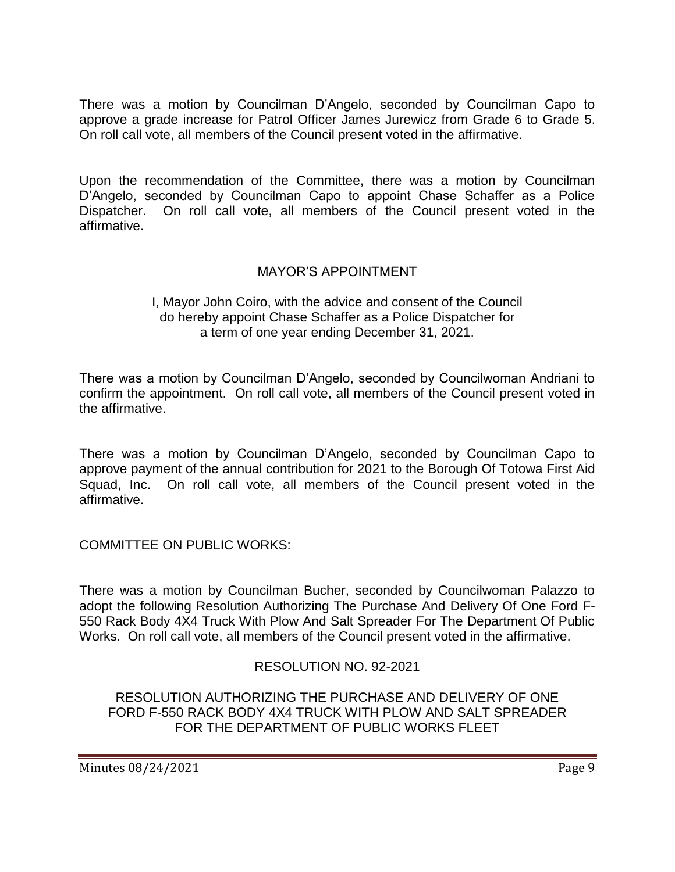There was a motion by Councilman D'Angelo, seconded by Councilman Capo to approve a grade increase for Patrol Officer James Jurewicz from Grade 6 to Grade 5. On roll call vote, all members of the Council present voted in the affirmative.

Upon the recommendation of the Committee, there was a motion by Councilman D'Angelo, seconded by Councilman Capo to appoint Chase Schaffer as a Police Dispatcher. On roll call vote, all members of the Council present voted in the affirmative.

# MAYOR'S APPOINTMENT

### I, Mayor John Coiro, with the advice and consent of the Council do hereby appoint Chase Schaffer as a Police Dispatcher for a term of one year ending December 31, 2021.

There was a motion by Councilman D'Angelo, seconded by Councilwoman Andriani to confirm the appointment. On roll call vote, all members of the Council present voted in the affirmative.

There was a motion by Councilman D'Angelo, seconded by Councilman Capo to approve payment of the annual contribution for 2021 to the Borough Of Totowa First Aid Squad, Inc. On roll call vote, all members of the Council present voted in the affirmative.

COMMITTEE ON PUBLIC WORKS:

There was a motion by Councilman Bucher, seconded by Councilwoman Palazzo to adopt the following Resolution Authorizing The Purchase And Delivery Of One Ford F-550 Rack Body 4X4 Truck With Plow And Salt Spreader For The Department Of Public Works. On roll call vote, all members of the Council present voted in the affirmative.

# RESOLUTION NO. 92-2021

RESOLUTION AUTHORIZING THE PURCHASE AND DELIVERY OF ONE FORD F-550 RACK BODY 4X4 TRUCK WITH PLOW AND SALT SPREADER FOR THE DEPARTMENT OF PUBLIC WORKS FLEET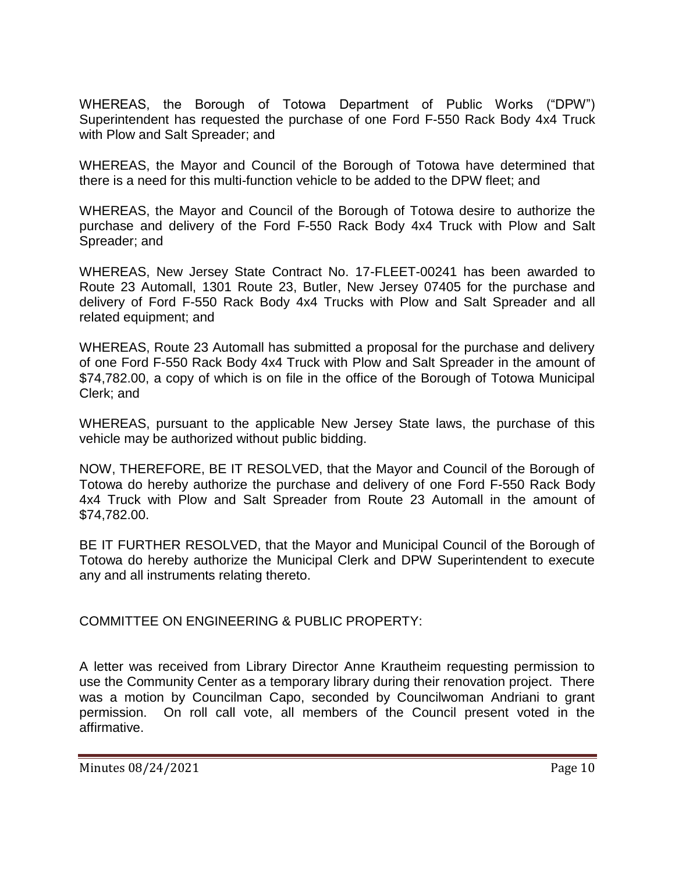WHEREAS, the Borough of Totowa Department of Public Works ("DPW") Superintendent has requested the purchase of one Ford F-550 Rack Body 4x4 Truck with Plow and Salt Spreader; and

WHEREAS, the Mayor and Council of the Borough of Totowa have determined that there is a need for this multi-function vehicle to be added to the DPW fleet; and

WHEREAS, the Mayor and Council of the Borough of Totowa desire to authorize the purchase and delivery of the Ford F-550 Rack Body 4x4 Truck with Plow and Salt Spreader; and

WHEREAS, New Jersey State Contract No. 17-FLEET-00241 has been awarded to Route 23 Automall, 1301 Route 23, Butler, New Jersey 07405 for the purchase and delivery of Ford F-550 Rack Body 4x4 Trucks with Plow and Salt Spreader and all related equipment; and

WHEREAS, Route 23 Automall has submitted a proposal for the purchase and delivery of one Ford F-550 Rack Body 4x4 Truck with Plow and Salt Spreader in the amount of \$74,782.00, a copy of which is on file in the office of the Borough of Totowa Municipal Clerk; and

WHEREAS, pursuant to the applicable New Jersey State laws, the purchase of this vehicle may be authorized without public bidding.

NOW, THEREFORE, BE IT RESOLVED, that the Mayor and Council of the Borough of Totowa do hereby authorize the purchase and delivery of one Ford F-550 Rack Body 4x4 Truck with Plow and Salt Spreader from Route 23 Automall in the amount of \$74,782.00.

BE IT FURTHER RESOLVED, that the Mayor and Municipal Council of the Borough of Totowa do hereby authorize the Municipal Clerk and DPW Superintendent to execute any and all instruments relating thereto.

COMMITTEE ON ENGINEERING & PUBLIC PROPERTY:

A letter was received from Library Director Anne Krautheim requesting permission to use the Community Center as a temporary library during their renovation project. There was a motion by Councilman Capo, seconded by Councilwoman Andriani to grant permission. On roll call vote, all members of the Council present voted in the affirmative.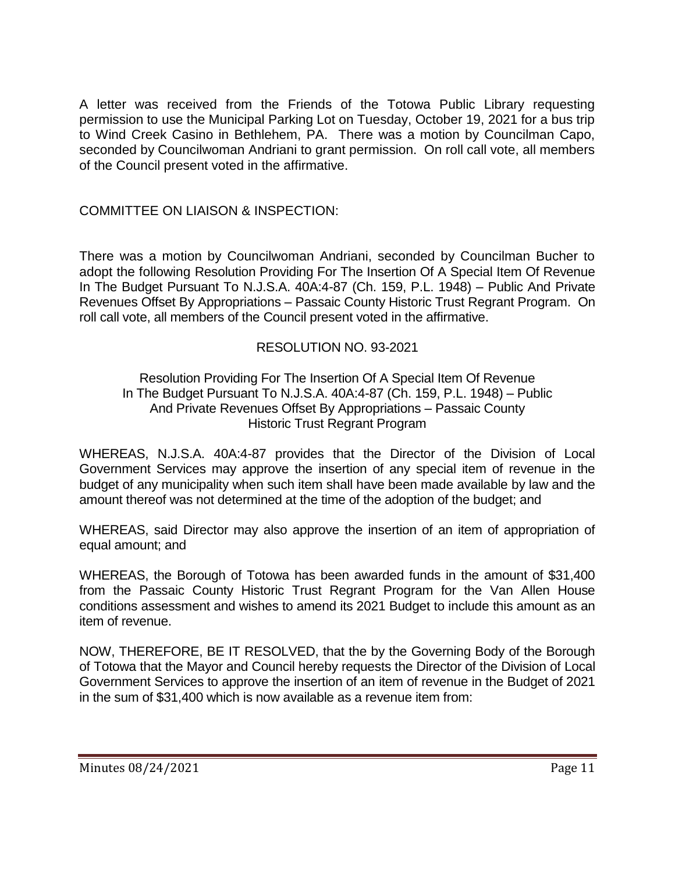A letter was received from the Friends of the Totowa Public Library requesting permission to use the Municipal Parking Lot on Tuesday, October 19, 2021 for a bus trip to Wind Creek Casino in Bethlehem, PA. There was a motion by Councilman Capo, seconded by Councilwoman Andriani to grant permission. On roll call vote, all members of the Council present voted in the affirmative.

COMMITTEE ON LIAISON & INSPECTION:

There was a motion by Councilwoman Andriani, seconded by Councilman Bucher to adopt the following Resolution Providing For The Insertion Of A Special Item Of Revenue In The Budget Pursuant To N.J.S.A. 40A:4-87 (Ch. 159, P.L. 1948) – Public And Private Revenues Offset By Appropriations – Passaic County Historic Trust Regrant Program. On roll call vote, all members of the Council present voted in the affirmative.

# RESOLUTION NO. 93-2021

### Resolution Providing For The Insertion Of A Special Item Of Revenue In The Budget Pursuant To N.J.S.A. 40A:4-87 (Ch. 159, P.L. 1948) – Public And Private Revenues Offset By Appropriations – Passaic County Historic Trust Regrant Program

WHEREAS, N.J.S.A. 40A:4-87 provides that the Director of the Division of Local Government Services may approve the insertion of any special item of revenue in the budget of any municipality when such item shall have been made available by law and the amount thereof was not determined at the time of the adoption of the budget; and

WHEREAS, said Director may also approve the insertion of an item of appropriation of equal amount; and

WHEREAS, the Borough of Totowa has been awarded funds in the amount of \$31,400 from the Passaic County Historic Trust Regrant Program for the Van Allen House conditions assessment and wishes to amend its 2021 Budget to include this amount as an item of revenue.

NOW, THEREFORE, BE IT RESOLVED, that the by the Governing Body of the Borough of Totowa that the Mayor and Council hereby requests the Director of the Division of Local Government Services to approve the insertion of an item of revenue in the Budget of 2021 in the sum of \$31,400 which is now available as a revenue item from: